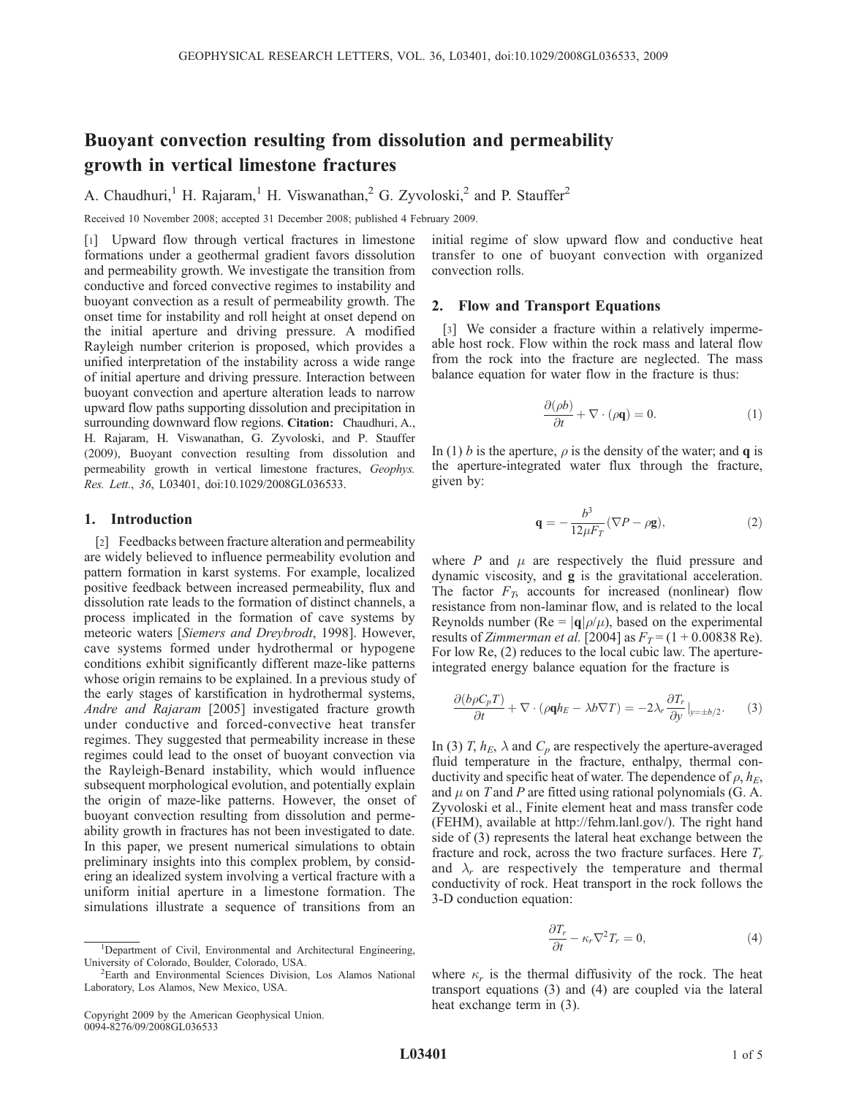# Buoyant convection resulting from dissolution and permeability growth in vertical limestone fractures

A. Chaudhuri,<sup>1</sup> H. Rajaram,<sup>1</sup> H. Viswanathan,<sup>2</sup> G. Zyvoloski,<sup>2</sup> and P. Stauffer<sup>2</sup>

Received 10 November 2008; accepted 31 December 2008; published 4 February 2009.

[1] Upward flow through vertical fractures in limestone formations under a geothermal gradient favors dissolution and permeability growth. We investigate the transition from conductive and forced convective regimes to instability and buoyant convection as a result of permeability growth. The onset time for instability and roll height at onset depend on the initial aperture and driving pressure. A modified Rayleigh number criterion is proposed, which provides a unified interpretation of the instability across a wide range of initial aperture and driving pressure. Interaction between buoyant convection and aperture alteration leads to narrow upward flow paths supporting dissolution and precipitation in surrounding downward flow regions. Citation: Chaudhuri, A., H. Rajaram, H. Viswanathan, G. Zyvoloski, and P. Stauffer (2009), Buoyant convection resulting from dissolution and permeability growth in vertical limestone fractures, Geophys. Res. Lett., 36, L03401, doi:10.1029/2008GL036533.

## 1. Introduction

[2] Feedbacks between fracture alteration and permeability are widely believed to influence permeability evolution and pattern formation in karst systems. For example, localized positive feedback between increased permeability, flux and dissolution rate leads to the formation of distinct channels, a process implicated in the formation of cave systems by meteoric waters [Siemers and Dreybrodt, 1998]. However, cave systems formed under hydrothermal or hypogene conditions exhibit significantly different maze-like patterns whose origin remains to be explained. In a previous study of the early stages of karstification in hydrothermal systems, Andre and Rajaram [2005] investigated fracture growth under conductive and forced-convective heat transfer regimes. They suggested that permeability increase in these regimes could lead to the onset of buoyant convection via the Rayleigh-Benard instability, which would influence subsequent morphological evolution, and potentially explain the origin of maze-like patterns. However, the onset of buoyant convection resulting from dissolution and permeability growth in fractures has not been investigated to date. In this paper, we present numerical simulations to obtain preliminary insights into this complex problem, by considering an idealized system involving a vertical fracture with a uniform initial aperture in a limestone formation. The simulations illustrate a sequence of transitions from an

initial regime of slow upward flow and conductive heat transfer to one of buoyant convection with organized convection rolls.

## 2. Flow and Transport Equations

[3] We consider a fracture within a relatively impermeable host rock. Flow within the rock mass and lateral flow from the rock into the fracture are neglected. The mass balance equation for water flow in the fracture is thus:

$$
\frac{\partial(\rho b)}{\partial t} + \nabla \cdot (\rho \mathbf{q}) = 0.
$$
 (1)

In (1) b is the aperture,  $\rho$  is the density of the water; and **q** is the aperture-integrated water flux through the fracture, given by:

$$
\mathbf{q} = -\frac{b^3}{12\mu F_T} (\nabla P - \rho \mathbf{g}),\tag{2}
$$

where  $P$  and  $\mu$  are respectively the fluid pressure and dynamic viscosity, and g is the gravitational acceleration. The factor  $F_T$ , accounts for increased (nonlinear) flow resistance from non-laminar flow, and is related to the local Reynolds number (Re =  $|{\bf q}|\rho/\mu$ ), based on the experimental results of *Zimmerman et al.* [2004] as  $F_T = (1 + 0.00838 \text{ Re}).$ For low Re, (2) reduces to the local cubic law. The apertureintegrated energy balance equation for the fracture is

$$
\frac{\partial (b\rho C_p T)}{\partial t} + \nabla \cdot (\rho \mathbf{q} h_E - \lambda b \nabla T) = -2\lambda_r \frac{\partial T_r}{\partial y} \big|_{y=\pm b/2}.
$$
 (3)

In (3) T,  $h_E$ ,  $\lambda$  and  $C_p$  are respectively the aperture-averaged fluid temperature in the fracture, enthalpy, thermal conductivity and specific heat of water. The dependence of  $\rho$ ,  $h_E$ , and  $\mu$  on T and P are fitted using rational polynomials (G. A. Zyvoloski et al., Finite element heat and mass transfer code (FEHM), available at http://fehm.lanl.gov/). The right hand side of (3) represents the lateral heat exchange between the fracture and rock, across the two fracture surfaces. Here  $T_r$ and  $\lambda_r$  are respectively the temperature and thermal conductivity of rock. Heat transport in the rock follows the 3-D conduction equation:

$$
\frac{\partial T_r}{\partial t} - \kappa_r \nabla^2 T_r = 0,
$$
\n(4)

where  $\kappa_r$  is the thermal diffusivity of the rock. The heat transport equations (3) and (4) are coupled via the lateral heat exchange term in (3).

<sup>&</sup>lt;sup>1</sup>Department of Civil, Environmental and Architectural Engineering, University of Colorado, Boulder, Colorado, USA.

<sup>2</sup> Earth and Environmental Sciences Division, Los Alamos National Laboratory, Los Alamos, New Mexico, USA.

Copyright 2009 by the American Geophysical Union. 0094-8276/09/2008GL036533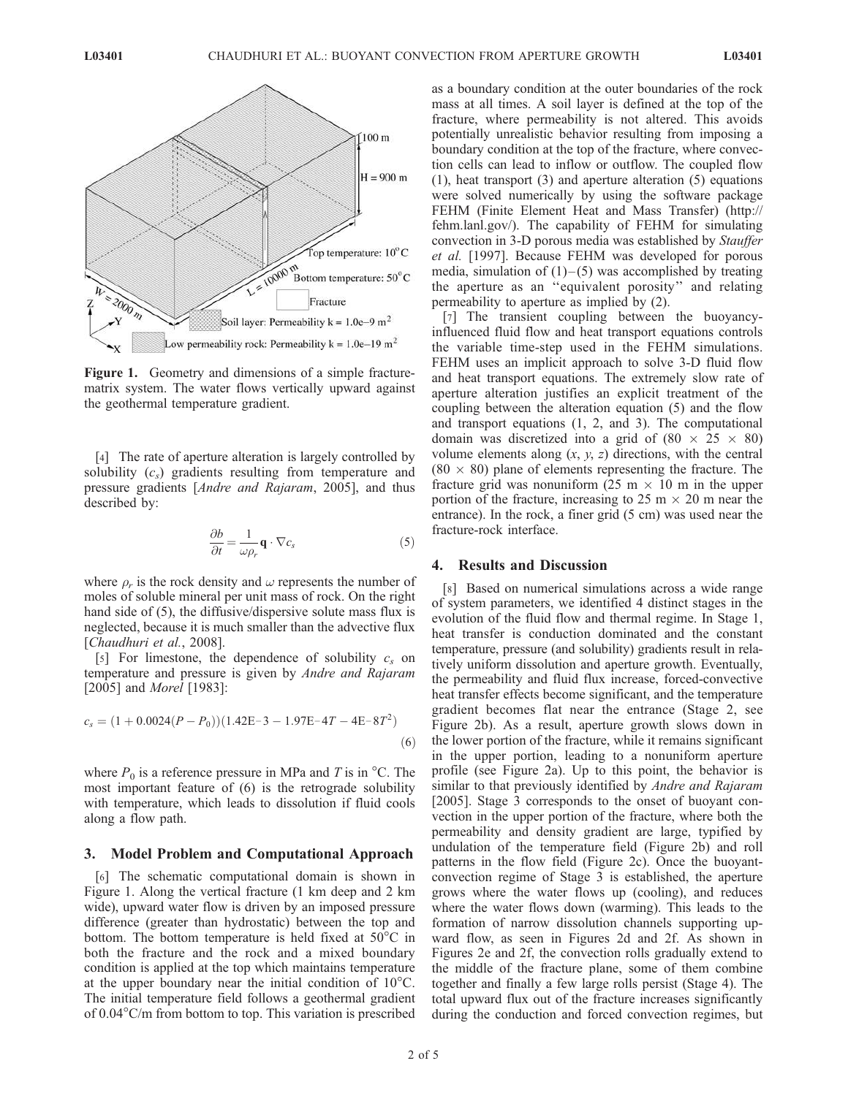

Figure 1. Geometry and dimensions of a simple fracturematrix system. The water flows vertically upward against the geothermal temperature gradient.

[4] The rate of aperture alteration is largely controlled by solubility  $(c_s)$  gradients resulting from temperature and pressure gradients [Andre and Rajaram, 2005], and thus described by:

$$
\frac{\partial b}{\partial t} = \frac{1}{\omega \rho_r} \mathbf{q} \cdot \nabla c_s \tag{5}
$$

where  $\rho_r$  is the rock density and  $\omega$  represents the number of moles of soluble mineral per unit mass of rock. On the right hand side of (5), the diffusive/dispersive solute mass flux is neglected, because it is much smaller than the advective flux [Chaudhuri et al., 2008].

[5] For limestone, the dependence of solubility  $c_s$  on temperature and pressure is given by Andre and Rajaram [2005] and *Morel* [1983]:

$$
c_s = (1 + 0.0024(P - P_0))(1.42E - 3 - 1.97E - 4T - 4E - 8T^2)
$$
\n(6)

where  $P_0$  is a reference pressure in MPa and T is in  $\mathrm{^{\circ}C}$ . The most important feature of (6) is the retrograde solubility with temperature, which leads to dissolution if fluid cools along a flow path.

#### 3. Model Problem and Computational Approach

[6] The schematic computational domain is shown in Figure 1. Along the vertical fracture (1 km deep and 2 km wide), upward water flow is driven by an imposed pressure difference (greater than hydrostatic) between the top and bottom. The bottom temperature is held fixed at  $50^{\circ}$ C in both the fracture and the rock and a mixed boundary condition is applied at the top which maintains temperature at the upper boundary near the initial condition of  $10^{\circ}$ C. The initial temperature field follows a geothermal gradient of  $0.04^{\circ}$ C/m from bottom to top. This variation is prescribed as a boundary condition at the outer boundaries of the rock mass at all times. A soil layer is defined at the top of the fracture, where permeability is not altered. This avoids potentially unrealistic behavior resulting from imposing a boundary condition at the top of the fracture, where convection cells can lead to inflow or outflow. The coupled flow (1), heat transport (3) and aperture alteration (5) equations were solved numerically by using the software package FEHM (Finite Element Heat and Mass Transfer) (http:// fehm.lanl.gov/). The capability of FEHM for simulating convection in 3-D porous media was established by Stauffer et al. [1997]. Because FEHM was developed for porous media, simulation of  $(1)$ – $(5)$  was accomplished by treating the aperture as an ''equivalent porosity'' and relating permeability to aperture as implied by (2).

[7] The transient coupling between the buoyancyinfluenced fluid flow and heat transport equations controls the variable time-step used in the FEHM simulations. FEHM uses an implicit approach to solve 3-D fluid flow and heat transport equations. The extremely slow rate of aperture alteration justifies an explicit treatment of the coupling between the alteration equation (5) and the flow and transport equations (1, 2, and 3). The computational domain was discretized into a grid of  $(80 \times 25 \times 80)$ volume elements along  $(x, y, z)$  directions, with the central  $(80 \times 80)$  plane of elements representing the fracture. The fracture grid was nonuniform  $(25 \text{ m} \times 10 \text{ m} \text{ in the upper})$ portion of the fracture, increasing to  $25 \text{ m} \times 20 \text{ m}$  near the entrance). In the rock, a finer grid  $(5 \text{ cm})$  was used near the fracture-rock interface.

## 4. Results and Discussion

[8] Based on numerical simulations across a wide range of system parameters, we identified 4 distinct stages in the evolution of the fluid flow and thermal regime. In Stage 1, heat transfer is conduction dominated and the constant temperature, pressure (and solubility) gradients result in relatively uniform dissolution and aperture growth. Eventually, the permeability and fluid flux increase, forced-convective heat transfer effects become significant, and the temperature gradient becomes flat near the entrance (Stage 2, see Figure 2b). As a result, aperture growth slows down in the lower portion of the fracture, while it remains significant in the upper portion, leading to a nonuniform aperture profile (see Figure 2a). Up to this point, the behavior is similar to that previously identified by *Andre and Rajaram* [2005]. Stage 3 corresponds to the onset of buoyant convection in the upper portion of the fracture, where both the permeability and density gradient are large, typified by undulation of the temperature field (Figure 2b) and roll patterns in the flow field (Figure 2c). Once the buoyantconvection regime of Stage 3 is established, the aperture grows where the water flows up (cooling), and reduces where the water flows down (warming). This leads to the formation of narrow dissolution channels supporting upward flow, as seen in Figures 2d and 2f. As shown in Figures 2e and 2f, the convection rolls gradually extend to the middle of the fracture plane, some of them combine together and finally a few large rolls persist (Stage 4). The total upward flux out of the fracture increases significantly during the conduction and forced convection regimes, but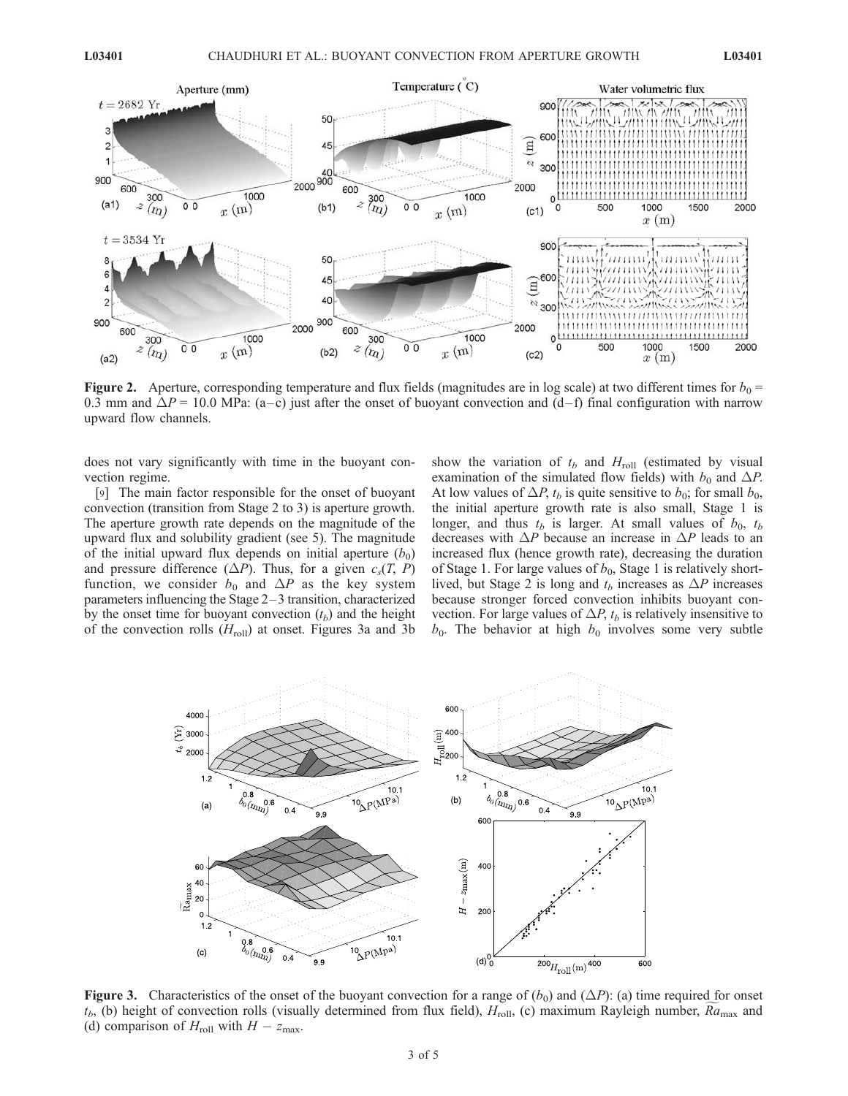

**Figure 2.** Aperture, corresponding temperature and flux fields (magnitudes are in log scale) at two different times for  $b_0 =$ 0.3 mm and  $\Delta P = 10.0$  MPa: (a–c) just after the onset of buoyant convection and (d–f) final configuration with narrow upward flow channels.

does not vary significantly with time in the buoyant convection regime.

[9] The main factor responsible for the onset of buoyant convection (transition from Stage 2 to 3) is aperture growth. The aperture growth rate depends on the magnitude of the upward flux and solubility gradient (see 5). The magnitude of the initial upward flux depends on initial aperture  $(b_0)$ and pressure difference  $(\Delta P)$ . Thus, for a given  $c_s(T, P)$ function, we consider  $b_0$  and  $\Delta P$  as the key system parameters influencing the Stage 2–3 transition, characterized by the onset time for buoyant convection  $(t_b)$  and the height of the convection rolls  $(H_{roll})$  at onset. Figures 3a and 3b

show the variation of  $t_b$  and  $H_{roll}$  (estimated by visual examination of the simulated flow fields) with  $b_0$  and  $\Delta P$ . At low values of  $\Delta P$ ,  $t_b$  is quite sensitive to  $b_0$ ; for small  $b_0$ , the initial aperture growth rate is also small, Stage 1 is longer, and thus  $t_b$  is larger. At small values of  $b_0$ ,  $t_b$ decreases with  $\Delta P$  because an increase in  $\Delta P$  leads to an increased flux (hence growth rate), decreasing the duration of Stage 1. For large values of  $b_0$ , Stage 1 is relatively shortlived, but Stage 2 is long and  $t_b$  increases as  $\Delta P$  increases because stronger forced convection inhibits buoyant convection. For large values of  $\Delta P$ ,  $t_b$  is relatively insensitive to  $b_0$ . The behavior at high  $b_0$  involves some very subtle



Figure 3. Characteristics of the onset of the buoyant convection for a range of  $(b_0)$  and  $(\Delta P)$ : (a) time required for onset  $t_b$ , (b) height of convection rolls (visually determined from flux field),  $H_{roll}$ , (c) maximum Rayleigh number,  $Ra_{max}$  and (d) comparison of  $H_{roll}$  with  $H - z_{max}$ .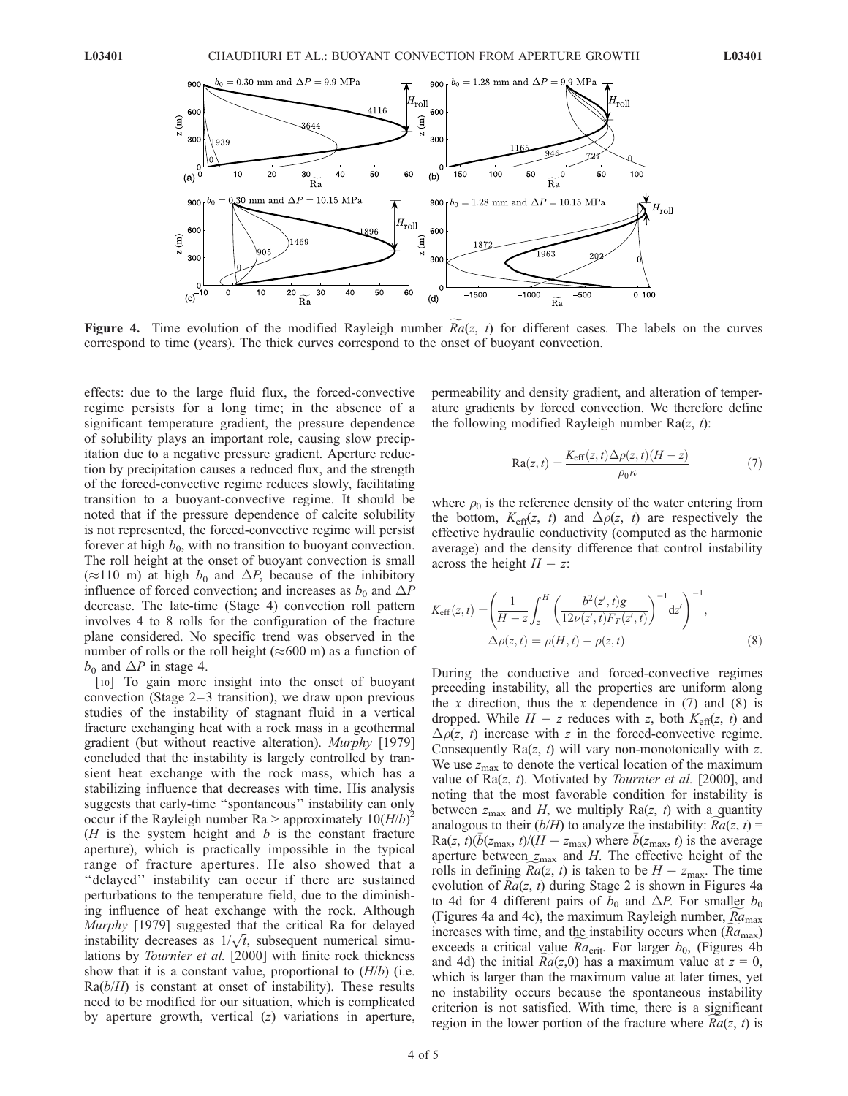

Figure 4. Time evolution of the modified Rayleigh number  $Ra(z, t)$  for different cases. The labels on the curves correspond to time (years). The thick curves correspond to the onset of buoyant convection.

effects: due to the large fluid flux, the forced-convective regime persists for a long time; in the absence of a significant temperature gradient, the pressure dependence of solubility plays an important role, causing slow precipitation due to a negative pressure gradient. Aperture reduction by precipitation causes a reduced flux, and the strength of the forced-convective regime reduces slowly, facilitating transition to a buoyant-convective regime. It should be noted that if the pressure dependence of calcite solubility is not represented, the forced-convective regime will persist forever at high  $b_0$ , with no transition to buoyant convection. The roll height at the onset of buoyant convection is small  $(\approx 110 \text{ m})$  at high  $b_0$  and  $\Delta P$ , because of the inhibitory influence of forced convection; and increases as  $b_0$  and  $\Delta P$ decrease. The late-time (Stage 4) convection roll pattern involves 4 to 8 rolls for the configuration of the fracture plane considered. No specific trend was observed in the number of rolls or the roll height ( $\approx 600$  m) as a function of  $b_0$  and  $\Delta P$  in stage 4.

[10] To gain more insight into the onset of buoyant convection (Stage  $2-3$  transition), we draw upon previous studies of the instability of stagnant fluid in a vertical fracture exchanging heat with a rock mass in a geothermal gradient (but without reactive alteration). Murphy [1979] concluded that the instability is largely controlled by transient heat exchange with the rock mass, which has a stabilizing influence that decreases with time. His analysis suggests that early-time ''spontaneous'' instability can only occur if the Rayleigh number Ra > approximately  $10(H/b)^2$ ( $H$  is the system height and  $b$  is the constant fracture aperture), which is practically impossible in the typical range of fracture apertures. He also showed that a ''delayed'' instability can occur if there are sustained perturbations to the temperature field, due to the diminishing influence of heat exchange with the rock. Although Murphy [1979] suggested that the critical Ra for delayed instability decreases as  $1/\sqrt{t}$ , subsequent numerical simulations by *Tournier et al.* [2000] with finite rock thickness show that it is a constant value, proportional to  $(H/b)$  (i.e.  $Ra(b/H)$  is constant at onset of instability). These results need to be modified for our situation, which is complicated by aperture growth, vertical  $(z)$  variations in aperture,

permeability and density gradient, and alteration of temperature gradients by forced convection. We therefore define the following modified Rayleigh number  $Ra(z, t)$ :

$$
Ra(z, t) = \frac{K_{eff}(z, t)\Delta\rho(z, t)(H - z)}{\rho_0 \kappa} \tag{7}
$$

where  $\rho_0$  is the reference density of the water entering from the bottom,  $K_{\text{eff}}(z, t)$  and  $\Delta \rho(z, t)$  are respectively the effective hydraulic conductivity (computed as the harmonic average) and the density difference that control instability across the height  $H - z$ :

$$
K_{\text{eff}}(z,t) = \left(\frac{1}{H-z}\int_{z}^{H} \left(\frac{b^{2}(z',t)g}{12\nu(z',t)F_{T}(z',t)}\right)^{-1}dz'\right)^{-1},
$$
  
 
$$
\Delta\rho(z,t) = \rho(H,t) - \rho(z,t)
$$
 (8)

During the conductive and forced-convective regimes preceding instability, all the properties are uniform along the x direction, thus the x dependence in  $(7)$  and  $(8)$  is dropped. While  $H - z$  reduces with z, both  $K<sub>eff</sub>(z, t)$  and  $\Delta \rho(z, t)$  increase with z in the forced-convective regime. Consequently  $Ra(z, t)$  will vary non-monotonically with z. We use  $z_{\text{max}}$  to denote the vertical location of the maximum value of  $Ra(z, t)$ . Motivated by *Tournier et al.* [2000], and noting that the most favorable condition for instability is between  $z_{\text{max}}$  and H, we multiply Ra(z, t) with a quantity analogous to their  $(b/H)$  to analyze the instability:  $Ra(z, t)$  = Ra(z, t)(b(z<sub>max</sub>, t)/(H – z<sub>max</sub>) where b(z<sub>max</sub>, t) is the average aperture between  $z_{\text{max}}$  and H. The effective height of the rolls in defining  $Ra(z, t)$  is taken to be  $H - z<sub>max</sub>$ . The time evolution of  $Ra(z, t)$  during Stage 2 is shown in Figures 4a to 4d for 4 different pairs of  $b_0$  and  $\Delta P$ . For smaller  $b_0$ (Figures 4a and 4c), the maximum Rayleigh number,  $Ra<sub>max</sub>$ increases with time, and the instability occurs when  $(Ra_{\text{max}})$ exceeds a critical value  $Ra_{\text{crit}}$ . For larger  $b_0$ , (Figures 4b and 4d) the initial  $Ra(z,0)$  has a maximum value at  $z = 0$ , which is larger than the maximum value at later times, yet no instability occurs because the spontaneous instability criterion is not satisfied. With time, there is a significant region in the lower portion of the fracture where  $Ra(z, t)$  is